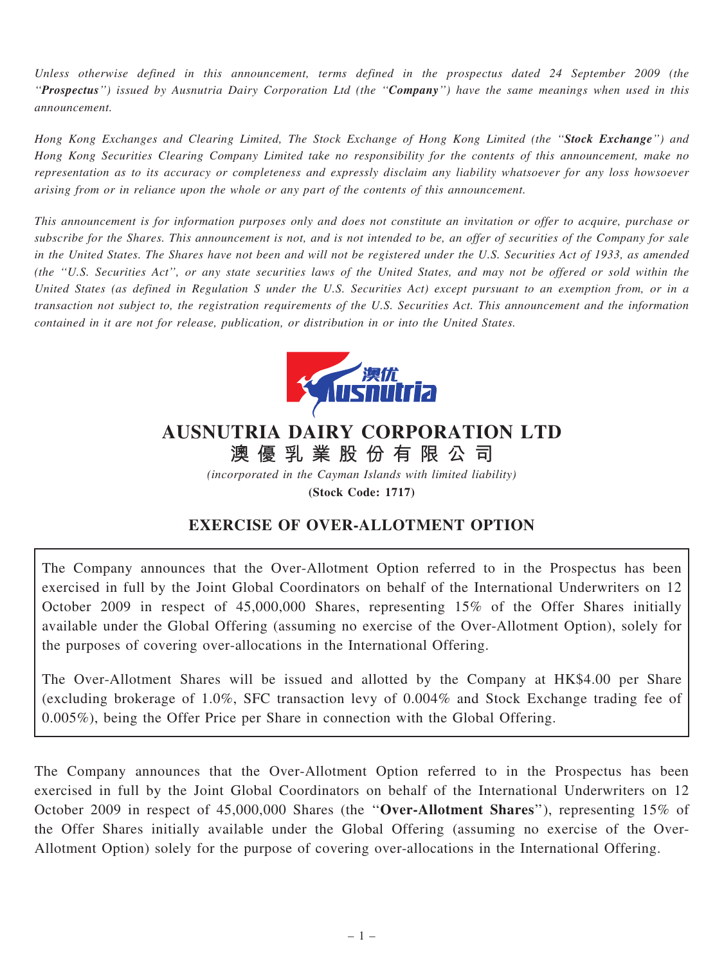Unless otherwise defined in this announcement, terms defined in the prospectus dated 24 September 2009 (the ''Prospectus'') issued by Ausnutria Dairy Corporation Ltd (the ''Company'') have the same meanings when used in this announcement.

Hong Kong Exchanges and Clearing Limited, The Stock Exchange of Hong Kong Limited (the "Stock Exchange") and Hong Kong Securities Clearing Company Limited take no responsibility for the contents of this announcement, make no representation as to its accuracy or completeness and expressly disclaim any liability whatsoever for any loss howsoever arising from or in reliance upon the whole or any part of the contents of this announcement.

This announcement is for information purposes only and does not constitute an invitation or offer to acquire, purchase or subscribe for the Shares. This announcement is not, and is not intended to be, an offer of securities of the Company for sale in the United States. The Shares have not been and will not be registered under the U.S. Securities Act of 1933, as amended (the ''U.S. Securities Act'', or any state securities laws of the United States, and may not be offered or sold within the United States (as defined in Regulation S under the U.S. Securities Act) except pursuant to an exemption from, or in a transaction not subject to, the registration requirements of the U.S. Securities Act. This announcement and the information contained in it are not for release, publication, or distribution in or into the United States.



## AUSNUTRIA DAIRY CORPORATION LTD

澳 優 乳 業 股 份 有 限 公 司 (incorporated in the Cayman Islands with limited liability)

(Stock Code: 1717)

## EXERCISE OF OVER-ALLOTMENT OPTION

The Company announces that the Over-Allotment Option referred to in the Prospectus has been exercised in full by the Joint Global Coordinators on behalf of the International Underwriters on 12 October 2009 in respect of 45,000,000 Shares, representing 15% of the Offer Shares initially available under the Global Offering (assuming no exercise of the Over-Allotment Option), solely for the purposes of covering over-allocations in the International Offering.

The Over-Allotment Shares will be issued and allotted by the Company at HK\$4.00 per Share (excluding brokerage of 1.0%, SFC transaction levy of 0.004% and Stock Exchange trading fee of 0.005%), being the Offer Price per Share in connection with the Global Offering.

The Company announces that the Over-Allotment Option referred to in the Prospectus has been exercised in full by the Joint Global Coordinators on behalf of the International Underwriters on 12 October 2009 in respect of 45,000,000 Shares (the ''Over-Allotment Shares''), representing 15% of the Offer Shares initially available under the Global Offering (assuming no exercise of the Over-Allotment Option) solely for the purpose of covering over-allocations in the International Offering.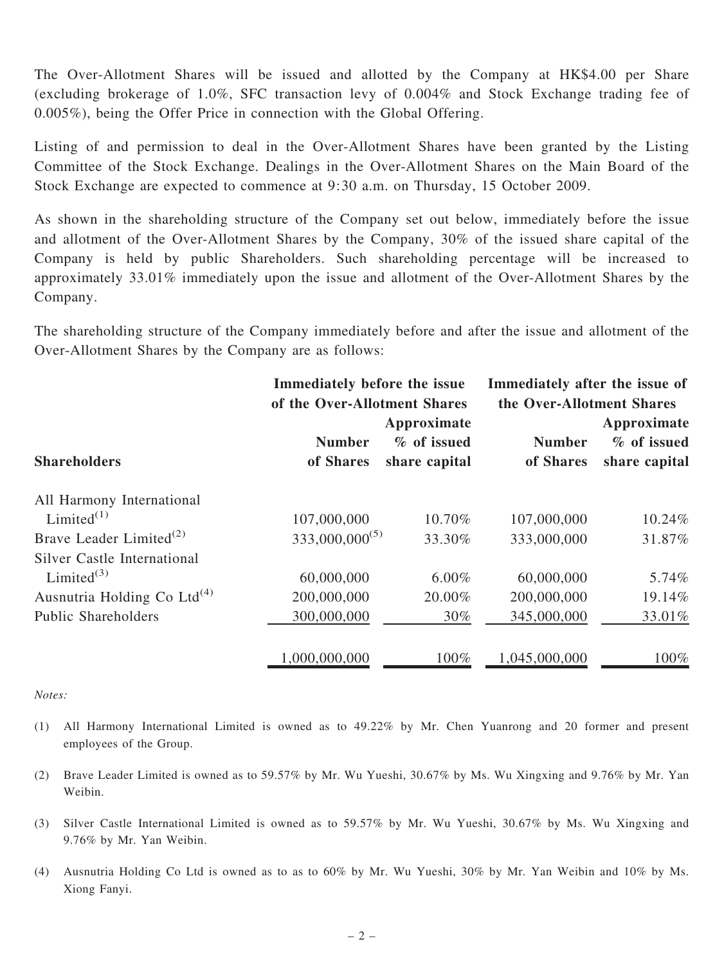The Over-Allotment Shares will be issued and allotted by the Company at HK\$4.00 per Share (excluding brokerage of 1.0%, SFC transaction levy of 0.004% and Stock Exchange trading fee of 0.005%), being the Offer Price in connection with the Global Offering.

Listing of and permission to deal in the Over-Allotment Shares have been granted by the Listing Committee of the Stock Exchange. Dealings in the Over-Allotment Shares on the Main Board of the Stock Exchange are expected to commence at 9:30 a.m. on Thursday, 15 October 2009.

As shown in the shareholding structure of the Company set out below, immediately before the issue and allotment of the Over-Allotment Shares by the Company, 30% of the issued share capital of the Company is held by public Shareholders. Such shareholding percentage will be increased to approximately 33.01% immediately upon the issue and allotment of the Over-Allotment Shares by the Company.

The shareholding structure of the Company immediately before and after the issue and allotment of the Over-Allotment Shares by the Company are as follows:

|                                         | Immediately before the issue<br>of the Over-Allotment Shares |                                             | Immediately after the issue of<br>the Over-Allotment Shares |                                             |
|-----------------------------------------|--------------------------------------------------------------|---------------------------------------------|-------------------------------------------------------------|---------------------------------------------|
| <b>Shareholders</b>                     | <b>Number</b><br>of Shares                                   | Approximate<br>% of issued<br>share capital | <b>Number</b><br>of Shares                                  | Approximate<br>% of issued<br>share capital |
| All Harmony International               |                                                              |                                             |                                                             |                                             |
| Limited $(1)$                           | 107,000,000                                                  | 10.70%                                      | 107,000,000                                                 | 10.24%                                      |
| Brave Leader Limited <sup>(2)</sup>     | $333,000,000^{(5)}$                                          | 33.30%                                      | 333,000,000                                                 | 31.87%                                      |
| <b>Silver Castle International</b>      |                                                              |                                             |                                                             |                                             |
| Limited $^{(3)}$                        | 60,000,000                                                   | $6.00\%$                                    | 60,000,000                                                  | 5.74%                                       |
| Ausnutria Holding Co Ltd <sup>(4)</sup> | 200,000,000                                                  | 20.00%                                      | 200,000,000                                                 | 19.14%                                      |
| <b>Public Shareholders</b>              | 300,000,000                                                  | 30%                                         | 345,000,000                                                 | 33.01%                                      |
|                                         | 000,000,000                                                  | 100%                                        | 1,045,000,000                                               | 100%                                        |

## Notes:

- (1) All Harmony International Limited is owned as to 49.22% by Mr. Chen Yuanrong and 20 former and present employees of the Group.
- (2) Brave Leader Limited is owned as to 59.57% by Mr. Wu Yueshi, 30.67% by Ms. Wu Xingxing and 9.76% by Mr. Yan Weibin.
- (3) Silver Castle International Limited is owned as to 59.57% by Mr. Wu Yueshi, 30.67% by Ms. Wu Xingxing and 9.76% by Mr. Yan Weibin.
- (4) Ausnutria Holding Co Ltd is owned as to as to 60% by Mr. Wu Yueshi, 30% by Mr. Yan Weibin and 10% by Ms. Xiong Fanyi.